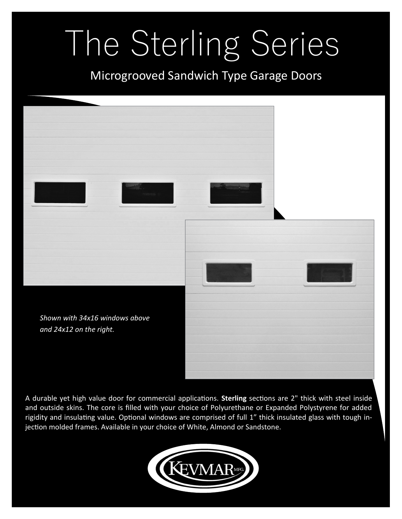# The Sterling Series

### Microgrooved Sandwich Type Garage Doors



A durable yet high value door for commercial applications. **Sterling** sections are 2" thick with steel inside and outside skins. The core is filled with your choice of Polyurethane or Expanded Polystyrene for added rigidity and insulating value. Optional windows are comprised of full 1" thick insulated glass with tough injection molded frames. Available in your choice of White, Almond or Sandstone.